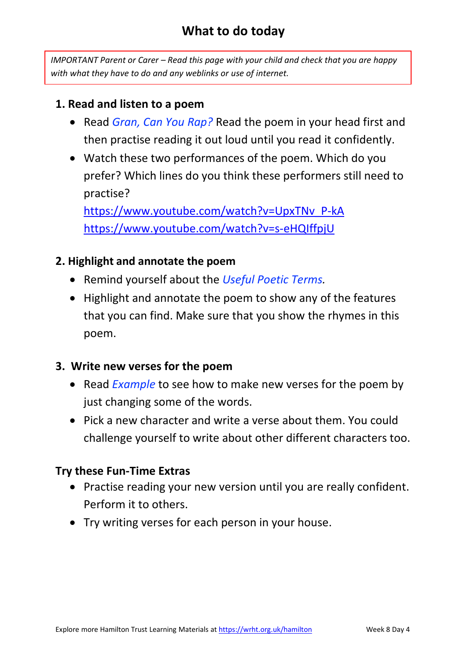### **What to do today**

*IMPORTANT Parent or Carer – Read this page with your child and check that you are happy with what they have to do and any weblinks or use of internet.* 

#### **1. Read and listen to a poem**

- Read *Gran, Can You Rap?* Read the poem in your head first and then practise reading it out loud until you read it confidently.
- Watch these two performances of the poem. Which do you prefer? Which lines do you think these performers still need to practise?

[https://www.youtube.com/watch?v=UpxTNv\\_P-kA](https://www.youtube.com/watch?v=UpxTNv_P-kA) <https://www.youtube.com/watch?v=s-eHQIffpjU>

#### **2. Highlight and annotate the poem**

- Remind yourself about the *Useful Poetic Terms.*
- Highlight and annotate the poem to show any of the features that you can find. Make sure that you show the rhymes in this poem.

#### **3. Write new verses for the poem**

- Read *Example* to see how to make new verses for the poem by just changing some of the words.
- Pick a new character and write a verse about them. You could challenge yourself to write about other different characters too.

#### **Try these Fun-Time Extras**

- Practise reading your new version until you are really confident. Perform it to others.
- Try writing verses for each person in your house.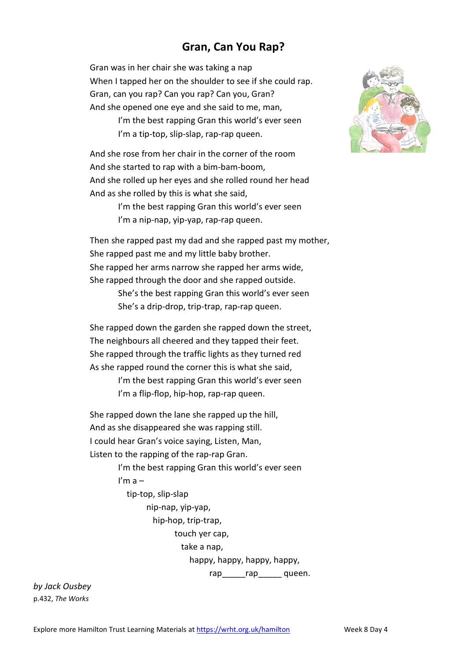#### **Gran, Can You Rap?**

Gran was in her chair she was taking a nap When I tapped her on the shoulder to see if she could rap. Gran, can you rap? Can you rap? Can you, Gran? And she opened one eye and she said to me, man, I'm the best rapping Gran this world's ever seen I'm a tip-top, slip-slap, rap-rap queen.

And she rose from her chair in the corner of the room And she started to rap with a bim-bam-boom, And she rolled up her eyes and she rolled round her head And as she rolled by this is what she said,

> I'm the best rapping Gran this world's ever seen I'm a nip-nap, yip-yap, rap-rap queen.

Then she rapped past my dad and she rapped past my mother, She rapped past me and my little baby brother. She rapped her arms narrow she rapped her arms wide, She rapped through the door and she rapped outside.

> She's the best rapping Gran this world's ever seen She's a drip-drop, trip-trap, rap-rap queen.

She rapped down the garden she rapped down the street, The neighbours all cheered and they tapped their feet. She rapped through the traffic lights as they turned red As she rapped round the corner this is what she said,

> I'm the best rapping Gran this world's ever seen I'm a flip-flop, hip-hop, rap-rap queen.

She rapped down the lane she rapped up the hill, And as she disappeared she was rapping still. I could hear Gran's voice saying, Listen, Man, Listen to the rapping of the rap-rap Gran.

> I'm the best rapping Gran this world's ever seen I'm  $a$  tip-top, slip-slap nip-nap, yip-yap, hip-hop, trip-trap, touch yer cap, take a nap, happy, happy, happy, happy, rap rap queen.

*by Jack Ousbey* p.432, *The Works*

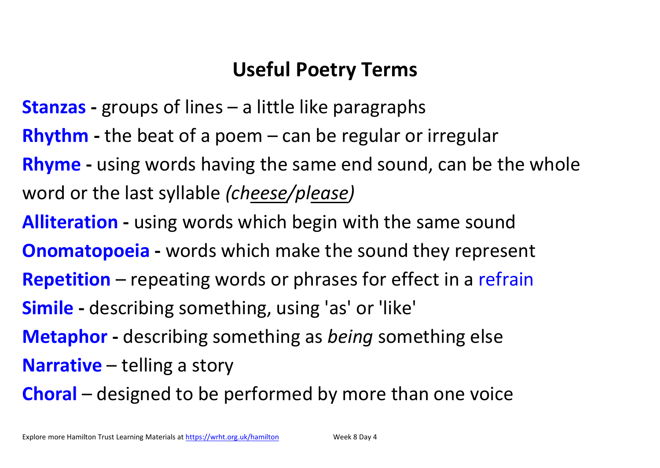# **Useful Poetry Terms**

- **Stanzas -** groups of lines a little like paragraphs
- **Rhythm -** the beat of a poem can be regular or irregular
- **Rhyme -** using words having the same end sound, can be the whole word or the last syllable *(cheese/please)*
- **Alliteration -** using words which begin with the same sound
- **Onomatopoeia -** words which make the sound they represent
- **Repetition** repeating words or phrases for effect in a refrain
- **Simile -** describing something, using 'as' or 'like'
- **Metaphor -** describing something as *being* something else
- **Narrative** telling a story
- **Choral** designed to be performed by more than one voice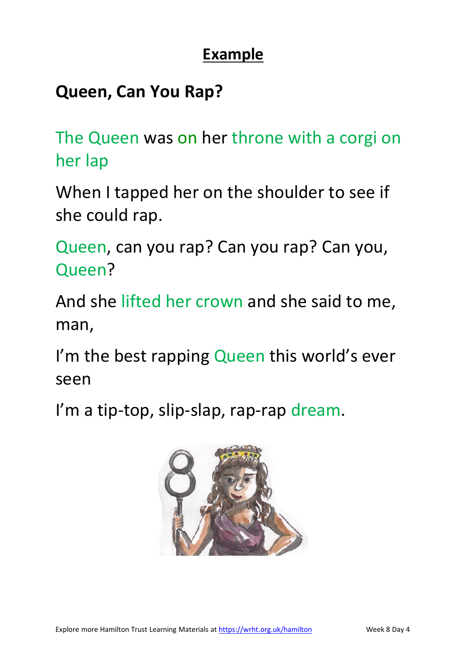### **Example**

## **Queen, Can You Rap?**

The Queen was on her throne with a corgi on her lap

When I tapped her on the shoulder to see if she could rap.

Queen, can you rap? Can you rap? Can you, Queen?

And she lifted her crown and she said to me, man,

I'm the best rapping Queen this world's ever seen

I'm a tip-top, slip-slap, rap-rap dream.